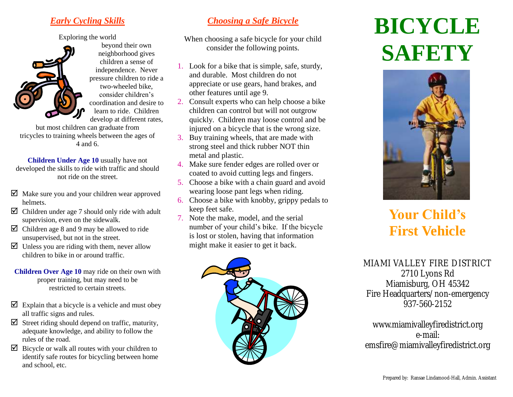### *Early Cycling Skills*

Exploring the world



beyond their own neighborhood gives children a sense of independence. Never pressure children to ride a two-wheeled bike, consider children's coordination and desire to learn to ride. Children develop at different rates,

but most children can graduate from tricycles to training wheels between the ages of 4 and 6.

**Children Under Age 10** usually have not developed the skills to ride with traffic and should not ride on the street.

- $\boxtimes$  Make sure you and your children wear approved helmets.
- $\boxtimes$  Children under age 7 should only ride with adult supervision, even on the sidewalk.
- $\boxtimes$  Children age 8 and 9 may be allowed to ride unsupervised, but not in the street.
- $\triangleright$  Unless you are riding with them, never allow children to bike in or around traffic.
- **Children Over Age 10** may ride on their own with proper training, but may need to be restricted to certain streets.
- $\triangleright$  Explain that a bicycle is a vehicle and must obey all traffic signs and rules.
- $\triangledown$  Street riding should depend on traffic, maturity, adequate knowledge, and ability to follow the rules of the road.
- $\triangleright$  Bicycle or walk all routes with your children to identify safe routes for bicycling between home and school, etc.

### *Choosing a Safe Bicycle*

When choosing a safe bicycle for your child consider the following points.

- 1. Look for a bike that is simple, safe, sturdy, and durable. Most children do not appreciate or use gears, hand brakes, and other features until age 9.
- 2. Consult experts who can help choose a bike children can control but will not outgrow quickly. Children may loose control and be injured on a bicycle that is the wrong size.
- 3. Buy training wheels, that are made with strong steel and thick rubber NOT thin metal and plastic.
- 4. Make sure fender edges are rolled over or coated to avoid cutting legs and fingers.
- 5. Choose a bike with a chain guard and avoid wearing loose pant legs when riding.
- 6. Choose a bike with knobby, grippy pedals to keep feet safe.
- 7. Note the make, model, and the serial number of your child's bike. If the bicycle is lost or stolen, having that information might make it easier to get it back.



# **BICYCLE SAFETY**



## **Your Child's First Vehicle**

MIAMI VALLEY FIRE DISTRICT 2710 Lyons Rd Miamisburg, OH 45342 Fire Headquarters/non-emergency 937-560-2152

www.miamivalleyfiredistrict.org e-mail: emsfire@miamivalleyfiredistrict.org